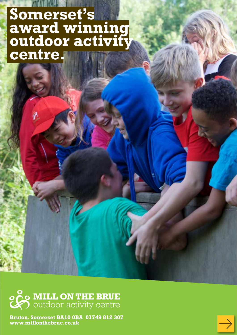# **Somerset's award winning outdoor activity centre.**



**Bruton, Somerset BA10 0BA 01749 812 307 www.millonthebrue.co.uk**

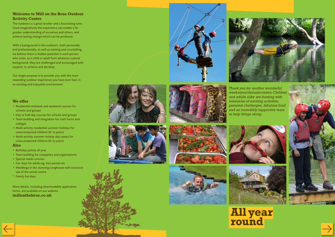# **Welcome to Mill on the Brue Outdoor Activity Centre**

The outdoors is a great leveller and a fascinating tutor. Used imaginatively the experience can enable a far greater understanding of ourselves and others, and achieve lasting change which can be profound.

With a background in the outdoors, both personally and professionally, as well as training and counselling, we believe there is hidden potential in each person who visits; as a child or adult from whatever cultural background, they are challenged and encouraged with support, to achieve and develop.

Our single purpose is to provide you with the most rewarding outdoor experience you have ever had, in an exciting and enjoyable environment.







# **We offer**

- Residential midweek and weekend courses for schools and groups
- Day or half-day courses for schools and groups
- Team building and integration for sixth forms and colleges
- Multi-activity residential summer holidays for unaccompanied children (8–15 years)
- Multi-activity summer holiday day camps for unaccompanied children (8–15 years)

## **Also**

- Birthday parties all year
- Team building for companies and organisations Special needs courses
- 
- Fun days for adults eg. hen parties etc.
- Weddings in the stunning Longhouse with exclusive use of the whole centre
- \* Family fun days.

More details, including downloadable application forms, are available on our website **millonthebrue.co.uk**











*Thank you for another wonderful week at your fantastic centre. Children and adults alike are buzzing with memories of exciting activities, personal challenges, fabulous food and an incredibly supportive team* 









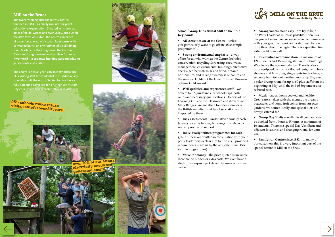# **Mill on the Brue:**

The centre, open all year, can accommodate 120 plus visiting staff for residential trips. Additionally from May until the end of September we have a fully equipped camp site for a further 50+ visitors. Day courses are also available all year round.

our award-winning outdoor activity centre, founded in 1982, is a family run, not-for-profit educational organisation. Situated in its own 25 acres of fields, woods and river valley, just outside the little town of Bruton, the centre comprises of a comfortable early Victorian farmhouse, with converted barns, an environmentally built dining room & kitchens, the Longhouse, the Garden Cabin and Longhouse extension. New for 2021 Rivermead – a separate building accommodating 34 students and 4 staff.









# **95% schools make return visits: some for over 20 years**



# **School/Group Trips 2022 at Mill on the Brue Key points**

• **All Activities are at the Centre** – unless you particularly want to go offsite. (See sample programmes)

• **Strong environmental emphasis** – a way of life for all who work at the Centre. Includes conservation, recycling & re-using, food waste management, environmental buildings, alternative energy, geothermal, solar and wind, organic horticulture, and raising awareness of nature and the seasons. Holder of the Green Tourism Business Scheme Gold Award.

• **Well qualified and experienced staff** – we adhere to LA guidelines for school trips, both ratios and necessary qualifications. Holders of the Learning Outside the Classroom and Adventure Mark Badges. We are also a founder member of the British Activity Providers Association and inspected by them.

• **Risk assessments** – undertaken annually each January for all activities, buildings, fire, etc. which we can provide on request.

• **Individually written programmes for each group** – these are written in consultation with your party leader with a clear aim for the visit, provided requirements reach us by the requested time. (See sample programmes)

• **Value for money** – the price quoted is inclusive; there are no hidden or extra costs. We even have a stock of waterproof jackets and trousers which we can lend.



• **Arrangements made easy** – we try to help the Party Leader as much as possible. There is a designated senior course leader who communicates with your group all week and a staff member on duty throughout the night. There is a qualified first aider on 24 hour call.

• **Residential accommodation** – a maximum of 124 students and 15 visiting staff in four buildings. We allocate the accommodation. There is also a fully equipped campsite – floored tents, camp beds, showers and lavatories, single tents for teachers, a separate barn for wet weather and camp fire, even a solar drying room, for up to 60 plus staff from the beginning of May until the end of September at a reduced rate.

• **Meals** – are all home cooked and healthy. Great care is taken with the menus, the organic vegetables and some fruit comes from our own gardens, we source locally and special diets are always catered for.

• **Group Day Visits** – available all year and can be booked from 1 hour to 5 hours. A minimum of 10 students. There is a special Day Visit Barn and adjacent lavatories and changing rooms for your use.

• **Family-run Centre since 1982** – to many of our customers this is a very important part of the special nature of Mill on the Brue.

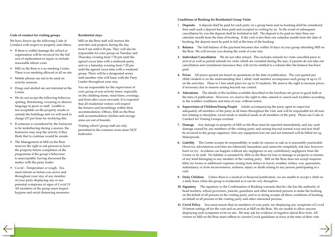#### **Code of conduct for visiting groups**

We have drawn up the following Code of Conduct with respect to property and others.

- If there is willful damage the school or organisation will be invoiced for the full cost of replacement or repair, to include reasonable labour costs.
- Mill on the Brue is a no smoking Centre. There is no smoking allowed at all on site.
- Mobile phones are not to be used on activity sessions.
- Drugs and alcohol are not tolerated at the Centre.
- We do not accept the following behavior, spitting, threatening, swearing or abusive language to peers or staff. Graffiti is not acceptable on the property inside or outside the buildings and we will need to charge £15 per hour for rectifying this.
- If someone is considered by the Instructor to be misbehaving during a session, the Instructor may stop the activity if they think that to continue would be unsafe.
- The Management at Mill on the Brue reserves the right to ask persons to leave the property before completion of the programme if the group's behaviour is unacceptable, having discussed the matter with the party leader.
- Covid Temperature or cough. You must inform us before you arrive and throughout your stay of any member of your party displaying any or any potential symptoms of signs of Covid 19. All members of the group must respect hygiene and social distancing measures.

#### **Residential stays**

Mill on the Brue staff will instruct the activities and projects during the day from 9 am until 6.30 pm. They will also be responsible for your group on Tuesday and Thursday evening from 7.30 pm until the agreed cocoa time with a midweek party, and on a Saturday evening from 7.30 pm until the agreed cocoa time with a weekend group. There will be a designated senior staff member who will liaise with the Party Leader throughout your stay.

You are responsible for the supervision of your group at non activity times, especially on the climbing frame, meal times, evenings, and from after cocoa onwards. It is expected that all residential visitors will respect the fixtures and furnishings within their accommodation. Offices, Mill on the Brue staff accommodation, kitchen and storage areas are out of bounds.

Visiting school/group staff are only permitted in the common room areas NOT bedrooms.

#### **Conditions of Booking for Residential Group Visits**

on the activities. There is 1 free adult place for up to 15 students. We reserve the right to increase prices

the time of publication. However, we reserve the right to alter, amend or cancel such facilities according

adequately all members of the party at all times throughout the visit, and will be responsible for all mat-

- 1. **Deposits** A deposit shall be paid for each party on a group basis and no booking shall be considered firm until such a deposit has been paid and accepted in writing by us. In the event of subsequent cancellation by you the deposit shall be forfeited in full. The deposit to be paid no later than one calendar month from the time of booking. If the visit is less than one calandar month from the date of booking, the deposit must be paid in full at the time of the booking.
- **2. Balance** The full balance of the payment becomes due within 10 days of your group attending Mill on the Brue. We will invoice you during the week of your stay.
- **3. Individual Cancellation** We do not offer refund. This includes refunds for visits cancelled prior to arrival as well as partial refunds for visits which are curtailed during the stay; if parents do not take out cancellation and curtailment insurance they will not be entitled to a refund after the balance has been paid.
- **4. Prices** All prices quoted are based on quotations at the date of publication. The cost quoted per child/student is on the understanding that 1 adult/staff member accompanies each group of up to 15 if necessary due to reasons arising beyond our control.
- **5. Alterations** The details of the facilities available described in the brochure are given in good faith at to the weather conditions and time of year, without notice.
- **6. Supervision of Children/Young People** Adults accompanying the party agree to supervise ters relating to discipline, social needs or medical needs of all members of the party. Please see Code of Conduct for Visiting Groups overleaf.
- **7. Damage** Any damage to property of Mill on the Brue must be reported immediately, and any such damage caused by any members of the visiting party and arising beyond normal wear and tear shall be invoiced to the group organizer. Also any equipment lent out and not returned will be billed for eg. Waterproofs.
- **8. Liability** The Centre accepts its responsibility to make its courses as safe as is reasonably practicable. However, adventurous activities are inherently hazardous and cannot be completely risk free, however hard we try. Accidents can happen without any negligence or any contributory negligence from the Centre or its staff. No liability is assumed by Mill on the Brue for loss or damage to property or monies of any kind belonging to any member of the visiting party. Mill on the Brue does not accept responsibility for losses or additional expenses arising from delays in travel, weather, strikes, war, quarantine, redundancy or from inconvenience, sickness, injury or death arising to any person participating in a visit.
- a daily basis when the group is residential as it can be very disruptive.
- **10. Signatory** The signatory to the Confirmation of Booking warrants that he/she has the authority of head teachers, school governors, parents, guardians and other interested persons to make the booking on the behalf of all persons in the visiting party, and in so doing accepts all these conditions of booking on behalf of all persons in the visiting party and other interested persons.
- **11. Covid Policy** You must ensure that no members of your party are displaying any symptoms of Covid 19 before setting off for the visit and on arrival at Mill on the Brue. We are unable to allow anyone displaying such symptoms to be on site. We may ask for evidence of negative lateral flow tests. All visitors to Mill on the Brue must adhere to current Covid guidelines in force at the time of their visit.

**9. Daily Children** Unless there is a medical or financial justification, we are unable to accept a child on

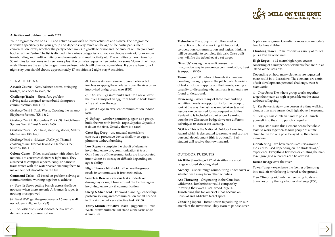#### **Activities and outdoor pursuits 2022**

Your programme can be as full and active as you wish or fewer activities and slower. The programme is written specifically for your group and depends very much on the age of the participants, their concentration levels, whether the party leader wants to go offsite or not and the amount of time you have booked at the Centre. The list is divided into various categories and you can choose a mix of, for example, teambuilding and multi activity or environmental and multi activity etc. The activities can each take from 30 minutes to two hours or three hours plus. You can also request a free period for some 'down time' if you wish. Please see the sample programmes enclosed which will give you some ideas. If you are here for a 4 night stay you should choose approximately 17 activities, a 2 night stay 9 activities.

*Challenge Track 1*: Toxic Waste, Crossing the swamp, Elephants feet etc. (KS 1 & 2).

#### TEAMBUILDING

**Assault Course** – Nets, balance beams, swinging bridges, obstacles to scale, etc.

**Challenge Tracks** – Short, fun, problem solving tasks designed to teambuild & improve communication. (KS 1–3)

*Challenge Track 2*: Bottomless Pit (KS3), the Gallows, Spiders Web & Trust V – (KS 1–3)

*Challenge Track 3*: Zap field, stepping stones, Matrix, Marble run. (KS 1–2)

*Challenge Track 4: (Nuclear Challenge)* Themed challenges inc: Eternal Triangle, Elephants feet, Stumps. (KS 1–3)

**Colony Game** – Tribes must barter with others for materials to construct shelters & light fires. They also need to compose a poem, song, or dance to trade water with the water native enabling them to make their hot chocolate on the fire.

**Command Tasks** – all based on problem solving & communication, working together to achieve.

*a) Save the River*: getting barrels across the Brue; not easy when there are only A-Frames & ropes & nothing must get wet!

*b) Great Wall*: get the group over a 2.5 metre wall; no ladders! (Higher for KS3)

*c) The Beast*: often used indoors. A task which demands good communication.

*d) Crossing the River*: similar to Save the River but involves swapping the whole team over the river on an improvised bridge or zip wire. (KS3)

*e) The Great Egg Race*: build and fire a rocket over the river, transport an egg from bank to bank, build a fire and cook the egg.

*f) Blind Fury*: an excellent communication indoor task.

*g) Rafting* – weather permitting, again as a group, build the raft with barrels, ropes & poles, & paddle it down the river. Usually there is a race!

**Great Egg Drop** – use unusual materials to construct a protective device & allow an egg to plummet without breaking.

**Low Ropes** – complete the circuit of elements, involving teamwork, communication & trust. Only 1 metre off the ground, tasks are incorporated into it & can be as easy or difficult depending on age & ability.

**Night Line** – a blindfold trail where the group needs to communicate & trust each other.

**Search & Rescue** – various tasks undertaken during day or night time around the Centre, again involving teamwork & communication.

**Sheep & Shepherd** – Forward planning, leadership, problem solving and communication are all needed in this simple but very effective task. (KS3)

**Thirty Minute Initiative Tasks** – Juggernaut, Toxic Waste, straw build etc. All stand alone tasks of 30 – 40 minutes.

**Trebuchet** – The group must follow a set of instructions to build a working 7ft trebuchet, co-operation, communication and logical thinking will be essential to complete this task. Once built they will fire the trebuchet at a set target!

**'Trust Us'** – using the assault course in an imaginative way to encourage communication, trust & support. (KS3)

**Tunnelling** – 100 metres of tunnels & chambers crawling through pipes in the pitch dark. A variety of tasks include mapping out the tunnels, saving a casualty or discussing what animals & minerals are found underground.

**Reviewing** – After many of these teambuilding activities there is an opportunity for the group to look at the way the task was undertaken & what lessons can be learned for subsequent activities. Reviewing is included as part of our Learning outside the Classroom Badge & we use different techniques to extract the learning.

**NOLA** – This is the National Outdoor Learning Award which is designated to promote and capture personal development (this is optional). Each student will receive their own award.

#### OUTDOOR PURSUITS

**Air Rifle Shooting** – 1.77cal air rifles in a short range enclosed shooting shed.

**Archery** – a short-range course, firing under cover & situated well away from other activities.

**Axe Throwing** – Originating in the Canadian wilderness, lumberjacks would compete by throwing their axes at soft wood targets. Transferring this to Somerset it has become an unusual and addictive target sport.

**Canoeing** (open) – Introduction to paddling on our stretch of the River Brue. They learn to paddle, steer



& play some games. Canadian canoes accommodate two to three children.

**Climbing Tower** – 9 metres with a variety of routes plus a low traverse wall.

**High Ropes** – a 12 metre high ropes course consisting of 4 independent elements that are run as 'stand-alone' sessions.

Depending on how many elements are requested there could be 1–3 sessions. The elements are a mix of self development, personal challenge, trust & teamwork:

*a) Crate Stack*: The whole group works together to get their team as high as possible on the crates without collapsing.

*b) The Burma Bridge* – one person at a time walking along a thin wire suspended high above the ground.

*c) Leap of Faith*: climb an 8 metre pole & launch yourself into the air to punch a large ball.

*d) High All Aboard*: this element needs the whole team to work together, as four people at a time climb to the top of a pole, belayed by their team members.

**Orienteering** – we have various courses around the Centre, used depending on the students age/ experience. Everything between orientating the map to 6 figure grid references can be covered.

**Burma Bridge** over the river.

**Tower Jump** – experience the feeling of jumping into mid-air while being lowered to the ground.

**Tree Climbing** – Climb the tree using holds and branches or try the rope ladder challenge (KS3).

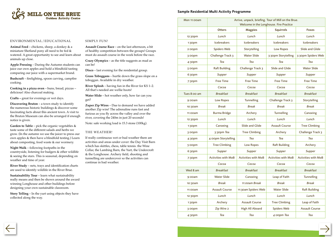

# ENVIRONMENTAL/EDUCATIONAL

**Animal Feed** – chickens, sheep, a donkey & a miniature Shetland pony all need to be fed & watered. A great opportunity to see and learn about animals up close.

**Apple Pressing** – During the Autumn students can juice our own apples and hold a blindfold tasting comparing our juice with a supermarket brand.

**Bushcraft** – firelighting, spoon carving, campfire cooking.

**Cooking in a pizza oven** – buns, bread, pizzas – delicious! Also charcoal making.

**Crafts –** great for evenings or wet days.

**Discovering Bruton** – a town study to identify the numerous historic buildings & discover some fascinating facts about this ancient town. A visit to the Bruton Museum can also be arranged if enough notice is given.

**Garden to Table** – pick the organic vegetables & taste some of the different salads and herbs we grow. (In the autumn we use the juicer to press our own apples & then have a blindfold testing.) Learn about composting, food waste & our wormery.

**Night Walk** – following footpaths in the countryside, listening for badgers & other wildlife & seeing the stars. This is seasonal, depending on weather and time of year.

**River Study** – nets, trays and identification charts are used to identify wildlife in the River Brue.

**Sustainability Tour** – learn what sustainability really means and then be shown around the award winning Longhouse and other buildings before designing your own sustainable classroom.

**Story Telling** – In the yurt using objects they have collected along the way.

## SIMPLY FUN!

**Assault Course Race** – on the last afternoon, a bit of healthy competition between the groups! Groups must do assault course in the week before the race.

**Crazy Olympics** – as the title suggests as mad as can be!

**Disco** – last evening for the residential group.

**Grass Toboggans** – hurtle down the grass slope on a toboggan. Available in dry weather.

**River Splosh** – having fun in the River for KS 1–2. All that's needed are wellie boots!

**Water Slide** – hot weather only, how far can you get?

**Zuper Zip Wires** – Due to demand we have added another Zip wire! The adrenaline runs fast and furious as you fly across the valley and over the river, covering the 240m in just 20 seconds!

Note: safe working load is 15.3 stone (100kg).

# THE WEATHER!

If really continuous wet or bad weather there are activities and areas under cover: the Day Visit Barn which has skittles, chess, table tennis. the Wine Cellar, the Lambing Barn, the Yurt, the Undercroft & the Longhouse. Archery field, shooting and tunnelling are undercover so the activities can continue in bad weather.

| Mon 11:00am        | Arrive, unpack, briefing. Tour of Mill on the Brue.<br>Welcome in the Longhouse. Fire Practice |                            |                            |                            |
|--------------------|------------------------------------------------------------------------------------------------|----------------------------|----------------------------|----------------------------|
|                    | <b>Otters</b>                                                                                  | <b>Magpies</b>             | <b>Squirrels</b>           | <b>Foxes</b>               |
| 12:30pm            | Lunch                                                                                          | Lunch                      | Lunch                      | Lunch                      |
| 1:30pm             | <b>Icebreakers</b>                                                                             | <b>Icebreakers</b>         | <b>Icebreakers</b>         | <b>Icebreakers</b>         |
| 2:00pm             | <b>Spiders Web</b>                                                                             | Storytelling               | <b>Low Ropes</b>           | <b>Slide and Glide</b>     |
| 3:00pm             | Challenge Track 3                                                                              | <b>Water Slide</b>         | 3:30pm Storytelling        | 3:30pm Spiders Web         |
| 4:30pm             | Tea                                                                                            | Tea                        | Tea                        | Tea                        |
| 5:00pm             | <b>Raft Building</b>                                                                           | Challenge Track 3          | <b>Slide and Glide</b>     | <b>Water Slide</b>         |
| 6:30 <sub>pm</sub> | <b>Supper</b>                                                                                  | <b>Supper</b>              | <b>Supper</b>              | <b>Supper</b>              |
| 7:30pm             | <b>Free Time</b>                                                                               | <b>Free Time</b>           | <b>Free Time</b>           | <b>Free Time</b>           |
|                    | Cocoa                                                                                          | Cocoa                      | Cocoa                      | Cocoa                      |
| Tues 8:00 am       | <b>Breakfast</b>                                                                               | <b>Breakfast</b>           | <b>Breakfast</b>           | <b>Breakfast</b>           |
| 9:00am             | <b>Low Ropes</b>                                                                               | <b>Tunnelling</b>          | Challenge Track 3          | Storytelling               |
| 10:30am            | <b>Break</b>                                                                                   | <b>Break</b>               | <b>Break</b>               | <b>Break</b>               |
| 11:00am            | <b>Burma Bridge</b>                                                                            | Archery                    | <b>Tunnelling</b>          | Canoeing                   |
| 12:30pm            | Lunch                                                                                          | Lunch                      | Lunch                      | Lunch                      |
| 1:30pm             | Canoeing                                                                                       | <b>Slide and Glide</b>     | <b>Assault Course</b>      | <b>Tree Climbing</b>       |
| 3:00pm             | 3:30pm Tea                                                                                     | <b>Tree Climbing</b>       | Archery                    | Challenge Track 3          |
| 4:30pm             | 4:00pm Storytelling                                                                            | Tea                        | Tea                        | Tea                        |
| 5:00pm             | <b>Tree Climbing</b>                                                                           | <b>Low Ropes</b>           | <b>Raft Building</b>       | Archery                    |
| 6:30pm             | <b>Supper</b>                                                                                  | <b>Supper</b>              | <b>Supper</b>              | <b>Supper</b>              |
| 7:30pm             | <b>Activities with MoB</b>                                                                     | <b>Activities with MoB</b> | <b>Activities with MoB</b> | <b>Activities with MoB</b> |
|                    | Cocoa                                                                                          | Cocoa                      | Cocoa                      | Cocoa                      |
| Wed 8:am           | <b>Breakfast</b>                                                                               | <b>Breakfast</b>           | <b>Breakfast</b>           | <b>Breakfast</b>           |
| 9:00am             | <b>Water Slide</b>                                                                             | Canoeing                   | Leap of Faith              | <b>Tunnelling</b>          |
| 10:30am            | <b>Break</b>                                                                                   | 11:00am Break              | <b>Break</b>               | <b>Break</b>               |
| 11:00am            | <b>Assault Course</b>                                                                          | 11:30am Spiders Web        | <b>Water Slide</b>         | <b>Raft Building</b>       |
| 12:30pm            | Lunch                                                                                          | Lunch                      | Lunch                      | Lunch                      |
| 1:30pm             | Archery                                                                                        | <b>Assault Course</b>      | <b>Tree Climbing</b>       | Leap of Faith              |
| 3:00pm             | Zip Wire 2                                                                                     | <b>High All Aboard</b>     | <b>Spiders Web</b>         | <b>Assault Course</b>      |
| 4:30pm             | Tea                                                                                            | Tea                        | 4:00pm Tea                 | Tea                        |



| <b>Sample Residential Multi Activity Programme</b> |  |
|----------------------------------------------------|--|
|----------------------------------------------------|--|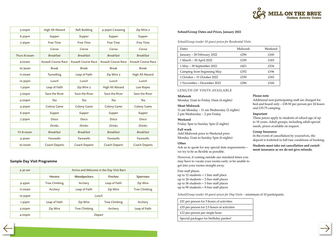| 5:00pm             | <b>High All Aboard</b>     | <b>Raft Building</b>       | 4:30pm Canoeing            | Zip Wire 2                 |
|--------------------|----------------------------|----------------------------|----------------------------|----------------------------|
| 6:30pm             | <b>Supper</b>              | <b>Supper</b>              | <b>Supper</b>              | <b>Supper</b>              |
| 7:30pm             | <b>Free Time</b>           | <b>Free Time</b>           | <b>Free Time</b>           | <b>Free Time</b>           |
|                    | Cocoa                      | Cocoa                      | Cocoa                      | Cocoa                      |
| Thurs 8:00am       | <b>Breakfast</b>           | <b>Breakfast</b>           | <b>Breakfast</b>           | <b>Breakfast</b>           |
| 9:00am             | <b>Assault Course Race</b> | <b>Assault Course Race</b> | <b>Assault Course Race</b> | <b>Assault Course Race</b> |
| 10:30am            | <b>Break</b>               | <b>Break</b>               | <b>Break</b>               | <b>Break</b>               |
| 11:00am            | <b>Tunnelling</b>          | Leap of Faith              | Zip Wire 2                 | <b>High All Aboard</b>     |
| 12:30pm            | Lunch                      | Lunch                      | Lunch                      | Lunch                      |
| 1:30 <sub>pm</sub> | Leap of Faith              | Zip Wire 2                 | <b>High All Aboard</b>     | <b>Low Ropes</b>           |
| 3:00pm             | <b>Save the River</b>      | <b>Save the River</b>      | Save the River             | Save the River             |
| 4:00pm             | Tea                        | Tea                        | Tea                        | Tea                        |
| 4:30pm             | <b>Colony Game</b>         | <b>Colony Game</b>         | <b>Colony Game</b>         | <b>Colony Game</b>         |
| 6:30pm             | <b>Supper</b>              | <b>Supper</b>              | <b>Supper</b>              | <b>Supper</b>              |
| 7:30 <sub>pm</sub> | <b>Disco</b>               | <b>Disco</b>               | <b>Disco</b>               | <b>Disco</b>               |
|                    | <b>Drinks</b>              | <b>Drinks</b>              | <b>Drinks</b>              | <b>Drinks</b>              |
| Fri 8:00am         | <b>Breakfast</b>           | <b>Breakfast</b>           | <b>Breakfast</b>           | <b>Breakfast</b>           |
| 9:30am             | <b>Farewells</b>           | <b>Farewells</b>           | <b>Farewells</b>           | <b>Farewells</b>           |
| 10:00am            | <b>Coach Departs</b>       | <b>Coach Departs</b>       | <b>Coach Departs</b>       | <b>Coach Departs</b>       |

| $9.30$ am          | Arrive and Welcome in the Day Visit Barn |                      |                      |                      |
|--------------------|------------------------------------------|----------------------|----------------------|----------------------|
|                    | <b>Herons</b>                            | <b>Woodpeckers</b>   | <b>Finches</b>       | <b>Sparrows</b>      |
| $9:45$ am          | <b>Tree Climbing</b>                     | Archery              | Leap of Faith        | <b>Zip Wire</b>      |
| 11:00am            | Archery                                  | Leap of Faith        | <b>Zip Wire</b>      | <b>Tree Climbing</b> |
| 12:30pm            | Lunch                                    |                      |                      |                      |
| 1:30 <sub>pm</sub> | Leap of Faith                            | <b>Zip Wire</b>      | <b>Tree Climbing</b> | Archery              |
| 3:00 <sub>pm</sub> | <b>Zip Wire</b>                          | <b>Tree Climbing</b> | Archery              | Leap of Faith        |
| 4:00 <sub>pm</sub> |                                          |                      | Depart               |                      |

## Sample Day Visit Programme

#### **School/Group Dates and Prices, January 2022**

*School/Group (under 18 years) prices for Residential Visits*

| Dates                        | Midweek | Weekend |
|------------------------------|---------|---------|
| January – 28 February 2022   | £296    | £160    |
| 1 March - 30 April 2022      | £339    | £183    |
| $1$ May $-30$ September 2022 | f.421   | £234    |
| Camping from beginning May   | £352    | £196    |
| 1 October – 31 October 2022  | £339    | £183    |
| 1 November – December 2022   | F796    | £160    |

#### LENGTH OF VISITS AVAILABLE

#### **Midweek**

Monday 11am to Friday 10am (4 nights)

#### **Short Midweek**

11 am Monday – 11 am Wednesday (2 nights) 2 pm Wednesday – 2 pm Friday

## **Weekend**

Friday 5pm to Sunday 5pm (2 nights)

#### **Full week**

Add Midweek price to Weekend price Monday 11am to Sunday 5pm (6 nights)

#### **Other**

Ask us to quote for any special date requirements – we try to be as flexible as possible.

However, if coming outside our standard times you may have to vacate your rooms early or be unable to get into your rooms straight away.

# Free staff places

up to 12 students  $=$  1 free staff place up to 24 students  $= 2$  free staff places up to 36 students  $=$  3 free staff places up to 90 students  $= 8$  free staff places

## **Please note**

Additional non-participating staff are charged for bed and board only – £38.50 per person per 24 hours and £35.75 camping.

## **Important**

These prices apply to students of school age of up to 18 years. Adult groups, including adult special needs, prices available on request.

## **Group Insurance**

In the event of cancellation by yourselves, the deposit is forfeited in full (see conditions of booking.

**Students must take out cancellation and curtailment insurance as we do not give refunds.**



*School/Group (under 18 years) prices for Day Visits –* minimum of 10 participants.

| £51 per person for 5 hours of activities   |  |
|--------------------------------------------|--|
| £33 per person for 2.5 hours of activities |  |
| £12 per person per single hour             |  |
| Special packages for birthday parties!     |  |

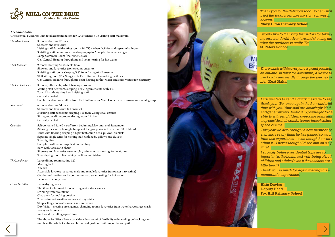

#### **Accommodation**

4 Residential Buildings with total accommodation for 124 students + 15 visiting staff maximum.

| The Main House   |                  | 3 rooms sleeping 28 max<br>Showers and lavatories<br>Visiting staff flat with sitting room with TV, kitchen facilities and separate bathroom<br>3 visiting staff bedrooms - one sleeping up to 2 people, the others single<br>Large Common Room (the Wine Cellar)<br>Gas Central Heating throughout and solar heating for hot water                                                                                                                                                                                                           |
|------------------|------------------|-----------------------------------------------------------------------------------------------------------------------------------------------------------------------------------------------------------------------------------------------------------------------------------------------------------------------------------------------------------------------------------------------------------------------------------------------------------------------------------------------------------------------------------------------|
| The Clubhouse    |                  | 9 rooms sleeping 50 students (max)<br>Showers and lavatories (some rooms ensuite)<br>3 visiting staff rooms sleeping 5, (2 twin, 1 single), all ensuite.<br>Staff sittingroom (The Snug) with TV, coffee and tea making facilities<br>Gas Central Heating throughout, solar heating for hot water and solar voltaic for electricity                                                                                                                                                                                                           |
|                  | The Garden Cabin | 3 rooms, all ensuite, which take 4 per room<br>Visiting staff bedroom, sleeping 1 or 2, again ensuite with TV.<br>Total: 12 students plus 1 or 2 visiting staff.<br>Centrally heated.<br>Can be used as an overflow from the Clubhouse or Main House or on it's own for a small group.                                                                                                                                                                                                                                                        |
| Rivermead        |                  | 6 rooms sleeping 34 max<br>Showers and lavatories (all ensuite)<br>3 visiting staff bedrooms sleeping 4 (1 twin, 2 single) all ensuite<br>Sitting room, dining room, drying room, kitchen<br>Centrally heated                                                                                                                                                                                                                                                                                                                                 |
| Campsite         |                  | Self-contained for $60 +$ staff from beginning May until end September<br>(Sharing the campsite might happen if the group size is lower than 30 children)<br>Tents with flooring sleeping 5-6 per tent, camp beds, pillows, blankets<br>Separate single tents for visiting staff with beds, pillows and duvets<br>Solar lighting<br>Campfire with wood supplied and seating<br>Barn with tables and chairs<br>Showers and lavatories - some solar, rainwater harvesting for lavatories<br>Solar drying room. Tea making facilities and fridge |
| The Longhouse    |                  | Large dining room seating 120+<br>Meeting hall<br>Kitchen<br>Accessible lavatory; separate male and female lavatories (rainwater harvesting)<br>Geothermal heating and woodburner, also solar heating for hot water<br>Patio with canopy cover                                                                                                                                                                                                                                                                                                |
| Other Facilities |                  | Large drying room<br>The Wine Cellar used for reviewing and indoor games<br>Drinking water fountains<br>Clay oven for cooking outside<br>2 Barns for wet weather games and day visits<br>Shop selling chocolate, sweets and souvenirs<br>Day Visits - meeting area, games, changing rooms, lavatories (rain water harvesting), wash-<br>rooms and showers<br>Yurt for story telling/quiet time                                                                                                                                                |
|                  |                  | The above facilities allow a considerable amount of flexibility – depending on bookings and                                                                                                                                                                                                                                                                                                                                                                                                                                                   |

numbers the whole Centre can be booked, just one building or the campsite.

Mi  $Br$ 

*I just wanted to send a quick message to say thank you. We, once again, had a wonderful time with you. Your staff are amazingly kind and generous and I feel totally privileged to be able to witness children overcome fears and step outside their comfort zones in such a short space of time.*

*This year we also brought a new member of staff and I really think he has gained so much from this experience - even though he won't admit it - I never thought I'd see him on a zip wire!*

*I strongly believe residential trips are so important to the health and well-being of both children and adults (even if the teachers are a little tired!)*

*Thank you so much for again making this a memorable experience.*

**Kate Davies**  Deputy Head **Fox Hill Primary School** 



*Thank you for the delicious food. When I first tried the food, it felt like my stomach was in heaven.*  **Mary Elton Primary School**

*I would like to thank my Instructors for taking me on a wonderful adventure and showing me what the outdoors is really like.*  **St Peters School**

*There exists within everyone a grand passion, an outlandish thirst for adventure, a desire to live boldly and vividly through the journey of life.* **Kurt Hahn**